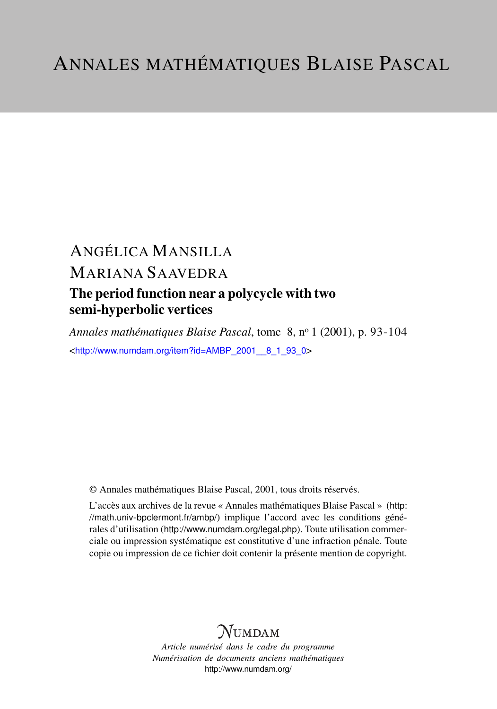# ANGÉLICA MANSILLA MARIANA SAAVEDRA The period function near a polycycle with two semi-hyperbolic vertices

*Annales mathématiques Blaise Pascal*, tome 8, n<sup>o</sup> 1 (2001), p. 93-104 <[http://www.numdam.org/item?id=AMBP\\_2001\\_\\_8\\_1\\_93\\_0](http://www.numdam.org/item?id=AMBP_2001__8_1_93_0)>

© Annales mathématiques Blaise Pascal, 2001, tous droits réservés.

L'accès aux archives de la revue « Annales mathématiques Blaise Pascal » ([http:](http://math.univ-bpclermont.fr/ambp/) [//math.univ-bpclermont.fr/ambp/](http://math.univ-bpclermont.fr/ambp/)) implique l'accord avec les conditions générales d'utilisation (<http://www.numdam.org/legal.php>). Toute utilisation commerciale ou impression systématique est constitutive d'une infraction pénale. Toute copie ou impression de ce fichier doit contenir la présente mention de copyright.

## **NUMDAM**

*Article numérisé dans le cadre du programme Numérisation de documents anciens mathématiques* <http://www.numdam.org/>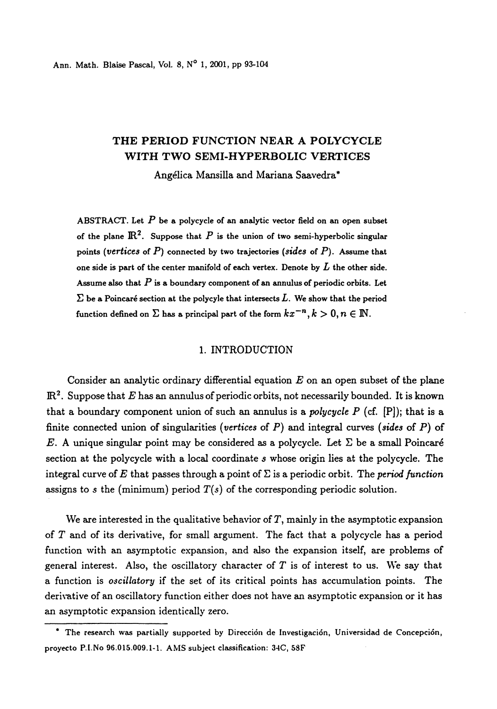### THE PERIOD FUNCTION NEAR A POLYCYCLE WITH TWO SEMI-HYPERBOLIC VERTICES

Angélica Mansilla and Mariana Saavedra\*

ABSTRACT. Let  $P$  be a polycycle of an analytic vector field on an open subset of the plane  $\mathbb{R}^2$ . Suppose that P is the union of two semi-hyperbolic singular points (vertices of  $P$ ) connected by two trajectories (sides of  $P$ ). Assume that one side is part of the center manifold of each vertex. Denote by  $L$  the other side. Assume also that  $P$  is a boundary component of an annulus of periodic orbits. Let  $\Sigma$  be a Poincaré section at the polycyle that intersects  $L$ . We show that the period function defined on  $\Sigma$  has a principal part of the form  $kx^{-n}, k > 0, n \in \mathbb{N}$ .

#### 1. INTRODUCTION

Consider an analytic ordinary differential equation  $E$  on an open subset of the plane  $\mathbb{R}^2$ . Suppose that E has an annulus of periodic orbits, not necessarily bounded. It is known that a boundary component union of such an annulus is a *polycycle P* (cf.  $[P]$ ); that is a finite connected union of singularities (vertices of  $P$ ) and integral curves (sides of  $P$ ) of E. A unique singular point may be considered as a polycycle. Let  $\Sigma$  be a small Poincaré section at the polycycle with a local coordinate s whose origin lies at the polycycle. The integral curve of E that passes through a point of  $\Sigma$  is a periodic orbit. The *period function* assigns to s the (minimum) period  $T(s)$  of the corresponding periodic solution.

We are interested in the qualitative behavior of  $T$ , mainly in the asymptotic expansion of T and of its derivative, for small argument. The fact that a polycycle has a period function with an asymptotic expansion, and also the expansion itself, are problems of general interest. Also, the oscillatory character of  $T$  is of interest to us. We say that a function is oscillatory if the set of its critical points has accumulation points. The derivative of an oscillatory function either does not have an asymptotic expansion or it has an asymptotic expansion identically zero.

<sup>\*</sup> The research was partially supported by Dirección de Investigacion, Universidad de Concepcion, proyecto P.I.No 96.015.009.1-1. AMS subject classification: 34C, 53F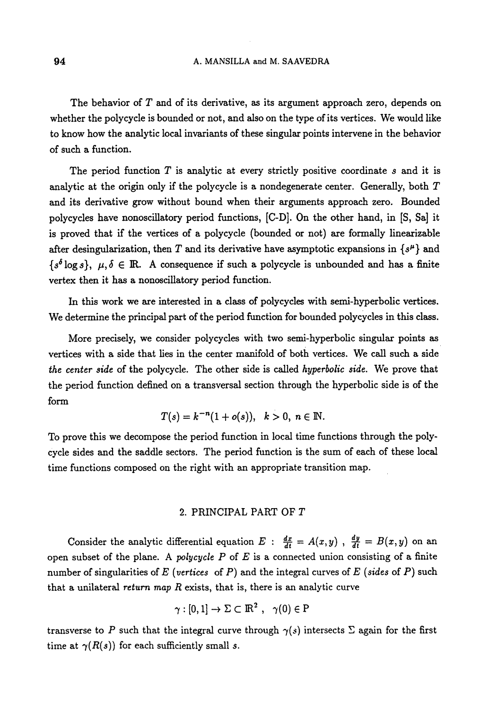The behavior of  $T$  and of its derivative, as its argument approach zero, depends on whether the polycycle is bounded or not, and also on the type of its vertices. We would like to know how the analytic local invariants of these singular points intervene in the behavior of such a function.

The period function  $T$  is analytic at every strictly positive coordinate s and it is analytic at the origin only if the polycycle is a nondegenerate center. Generally, both  $T$ and its derivative grow without bound when their arguments approach zero. Bounded polycycles have nonoscillatory period functions, [C-D]. On the other hand, in [S, Sa] it is proved that if the vertices of a polycycle (bounded or not) are formally linearizable after desingularization, then T and its derivative have asymptotic expansions in  $\{s^{\mu}\}\$  and  $\{s^{\delta}\log s\}, \mu, \delta \in \mathbb{R}$ . A consequence if such a polycycle is unbounded and has a finite vertex then it has a nonoscillatory period function.

In this work we are interested in a class of polycycles with semi-hyperbolic vertices. We determine the principal part of the period function for bounded polycycles in this class.

More precisely, we consider polycycles with two semi-hyperbolic singular points as vertices with a side that lies in the center manifold of both vertices. We call such a side the center side of the polycycle. The other side is called hyperbolic side. We prove that the period function defined on a transversal section through the hyperbolic side is of the form

$$
T(s) = k^{-n}(1 + o(s)), \quad k > 0, \ n \in \mathbb{N}.
$$

To prove this we decompose the period function in local time functions through the polycycle sides and the saddle sectors. The period function is the sum of each of these local time functions composed on the right with an appropriate transition map.

#### 2. PRINCIPAL PART OF T

Consider the analytic differential equation  $E : \frac{dx}{dt} = A(x, y)$ ,  $\frac{dy}{dt} = B(x, y)$  on an open subset of the plane. A polycycle  $P$  of  $E$  is a connected union consisting of a finite number of singularities of E (vertices of P) and the integral curves of E (sides of P) such that a unilateral return map  $R$  exists, that is, there is an analytic curve

$$
\gamma:[0,1]\to \Sigma\subset{\rm I\!R}^2\ ,\ \ \gamma(0)\in{\rm P}
$$

transverse to P such that the integral curve through  $\gamma(s)$  intersects  $\Sigma$  again for the first time at  $\gamma(R(s))$  for each sufficiently small s.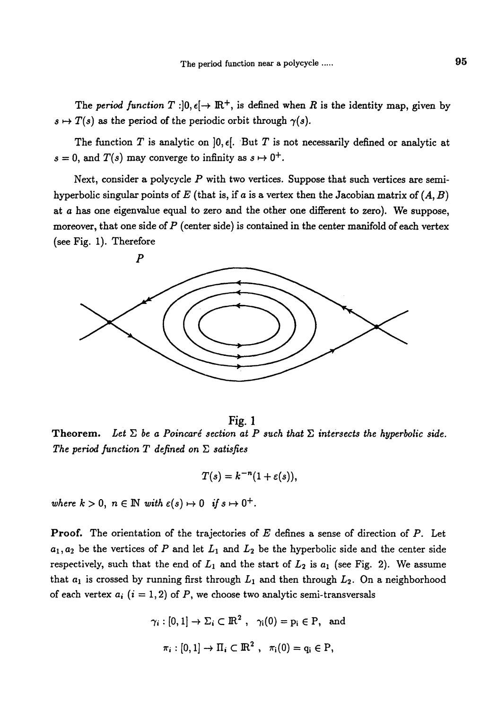The period function  $T : ]0, \epsilon[ \rightarrow \mathbb{R}^+,$  is defined when R is the identity map, given by  $s \mapsto T(s)$  as the period of the periodic orbit through  $\gamma(s)$ .

The function T is analytic on  $]0, \epsilon[$ . But T is not necessarily defined or analytic at  $s = 0$ , and  $T(s)$  may converge to infinity as  $s \mapsto 0^+$ .

Next, consider a polycycle  $P$  with two vertices. Suppose that such vertices are semihyperbolic singular points of E (that is, if a is a vertex then the Jacobian matrix of  $(A, B)$ ) at a has one eigenvalue equal to zero and the other one diflerent to zero). We suppose, moreover, that one side of  $P$  (center side) is contained in the center manifold of each vertex (see Fig. 1). Therefore



Fig.1 Theorem. Let  $\Sigma$  be a Poincaré section at P such that  $\Sigma$  intersects the hyperbolic side. The period function T defined on  $\Sigma$  satisfies

$$
T(s)=k^{-n}(1+\varepsilon(s)),
$$

where  $k > 0$ ,  $n \in \mathbb{N}$  with  $\varepsilon(s) \mapsto 0$  if  $s \mapsto 0^+$ .

**Proof.** The orientation of the trajectories of  $E$  defines a sense of direction of  $P$ . Let  $a_1, a_2$  be the vertices of P and let  $L_1$  and  $L_2$  be the hyperbolic side and the center side respectively, such that the end of  $L_1$  and the start of  $L_2$  is  $a_1$  (see Fig. 2). We assume that  $a_1$  is crossed by running first through  $L_1$  and then through  $L_2$ . On a neighborhood of each vertex  $a_i$   $(i = 1, 2)$  of P, we choose two analytic semi-transversals

$$
\gamma_i : [0, 1] \to \Sigma_i \subset \mathbb{R}^2 \,, \quad \gamma_i(0) = p_i \in P, \text{ and}
$$

$$
\pi_i : [0, 1] \to \Pi_i \subset \mathbb{R}^2 \,, \quad \pi_i(0) = q_i \in P,
$$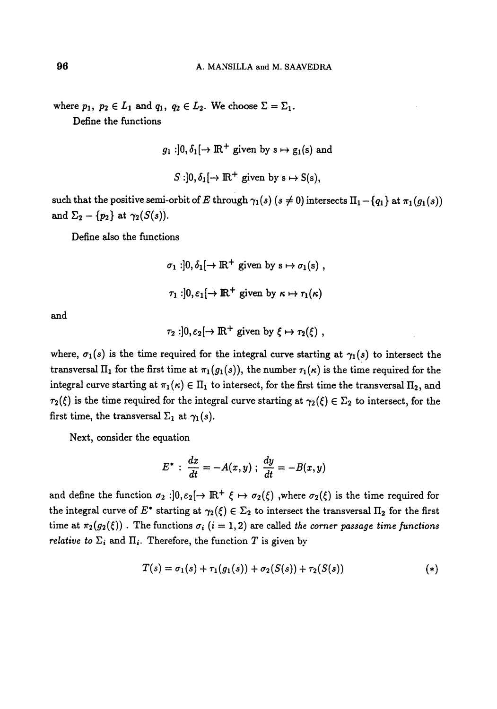where  $p_1, p_2 \in A$ A. MANSILLA and M. SAAVEDRA<br>  $L_1$  and  $q_1$ ,  $q_2 \in L_2$ . We choose  $\Sigma = \Sigma_1$ .<br>
functions

Define the functions

$$
g_1:]0, \delta_1[\rightarrow \mathbb{R}^+
$$
 given by  $s \mapsto g_1(s)$  and  
 $S:]0, \delta_1[\rightarrow \mathbb{R}^+$  given by  $s \mapsto S(s)$ ,

such that the positive semi-orbit of E through  $\gamma_1(s)$  ( $s \neq 0$ ) intersects  $\Pi_1 - \{q_1\}$  at  $\pi_1(g_1(s))$ and  $\Sigma_2 - \{p_2\}$  at  $\gamma_2(S(s))$ .

Define also the functions

$$
\sigma_1: ]0, \delta_1[ \to \mathbb{R}^+ \text{ given by } s \mapsto \sigma_1(s) ,
$$
  

$$
\tau_1: ]0, \varepsilon_1[ \to \mathbb{R}^+ \text{ given by } \kappa \mapsto \tau_1(\kappa)
$$

and

$$
\tau_2: ]0, \varepsilon_2[ \to \mathbb{R}^+ \text{ given by } \xi \mapsto \tau_2(\xi) ,
$$

where,  $\sigma_1(s)$  is the time required for the integral curve starting at  $\gamma_1(s)$  to intersect the transversal  $\Pi_1$  for the first time at  $\pi_1(g_1(s))$ , the number  $\tau_1(\kappa)$  is the time required for the integral curve starting at  $\pi_1(\kappa) \in \Pi_1$  to intersect, for the first time the transversal  $\Pi_2$ , and  $\tau_2(\xi)$  is the time required for the integral curve starting at  $\gamma_2(\xi) \in \Sigma_2$  to intersect, for the first time, the transversal  $\Sigma_1$  at  $\gamma_1(s)$ .

Next, consider the equation

$$
E^* : \frac{dx}{dt} = -A(x, y) ; \frac{dy}{dt} = -B(x, y)
$$

and define the function  $\sigma_2:]0, \varepsilon_2[~\to~\mathbb{R}^+~\xi~\mapsto~\sigma_2(\xi)$ , where  $\sigma_2(\xi)$  is the time required for the integral curve of  $E^*$  starting at  $\gamma_2(\xi) \in \Sigma_2$  to intersect the transversal  $\Pi_2$  for the first time at  $\pi_2(g_2(\xi))$ . The functions  $\sigma_i$   $(i = 1, 2)$  are called the corner passage time functions relative to  $\Sigma_i$  and  $\Pi_i$ . Therefore, the function T is given by

$$
T(s) = \sigma_1(s) + \tau_1(g_1(s)) + \sigma_2(S(s)) + \tau_2(S(s))
$$
 (\*)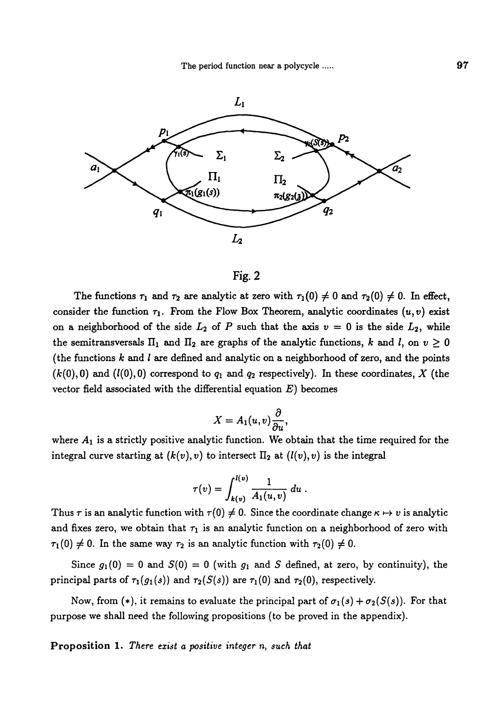

### Fig. 2

The functions  $\tau_1$  and  $\tau_2$  are analytic at zero with  $\tau_1 (0) \neq 0$  and  $\tau_2 (0) \neq 0$ . In effect, consider the function  $\tau_1$ . From the Flow Box Theorem, analytic coordinates  $(u, v)$  exist on a neighborhood of the side  $L_2$  of P such that the axis  $v = 0$  is the side  $L_2$ , while the semitransversals  $\Pi_1$  and  $\Pi_2$  are graphs of the analytic functions, k and l, on  $v \ge 0$ (the functions  $k$  and  $l$  are defined and analytic on a neighborhood of zero, and the points  $(k(0), 0)$  and  $(l(0), 0)$  correspond to  $q_1$  and  $q_2$  respectively). In these coordinates, X (the vector field associated with the differential equation  $E$ ) becomes

$$
X=A_1(u,v)\frac{\partial}{\partial u},
$$

where  $A_1$  is a strictly positive analytic function. We obtain that the time required for the integral curve starting at  $(k(v), v)$  to intersect  $\Pi_2$  at  $(l(v), v)$  is the integral

$$
\tau(v) = \int_{k(v)}^{l(v)} \frac{1}{A_1(u,v)} \, du \; .
$$

Thus  $\tau$  is an analytic function with  $\tau(0) \neq 0$ . Since the coordinate change  $\kappa \mapsto v$  is analytic and fixes zero, we obtain that  $\tau_1$  is an analytic function on a neighborhood of zero with  $\tau_1(0) \neq 0$ . In the same way  $\tau_2$  is an analytic function with  $\tau_2(0) \neq 0$ .

Since  $g_1(0) = 0$  and  $S(0) = 0$  (with  $g_1$  and S defined, at zero, by continuity), the principal parts of  $\tau_1(g_1(s))$  and  $\tau_2(S(s))$  are  $\tau_1(0)$  and  $\tau_2(0)$ , respectively.

Now, from (\*), it remains to evaluate the principal part of  $\sigma_1(s) + \sigma_2(S(s))$ . For that purpose we shall need the following propositions (to be proved in the appendix).

Proposition 1. There exist a positive integer n, such that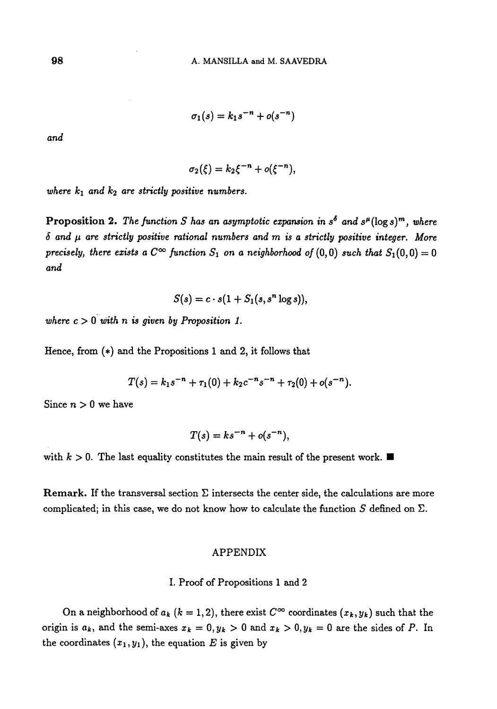$$
\sigma_1(s)=k_1s^{-n}+o(s^{-n})
$$

and

$$
\sigma_2(\xi) = k_2 \xi^{-n} + o(\xi^{-n}),
$$

where  $k_1$  and  $k_2$  are strictly positive numbers.

Proposition 2. The function S has an asymptotic expansion in  $s^{\delta}$  and  $s^{\mu}(\log s)^{m}$ , where  $\delta$  and  $\mu$  are strictly positive rational numbers and m is a strictly positive integer. More precisely, there exists a  $C^{\infty}$  function  $S_1$  on a neighborhood of  $(0,0)$  such that  $S_1(0,0) = 0$ and

$$
S(s) = c \cdot s(1 + S_1(s, s^n \log s)),
$$

where  $c > 0$  with n is given by Proposition 1.

Hence, from (\*) and the Propositions 1 and 2, it follows that

$$
T(s) = k_1 s^{-n} + \tau_1(0) + k_2 c^{-n} s^{-n} + \tau_2(0) + o(s^{-n}).
$$

Since  $n > 0$  we have

$$
T(s) = ks^{-n} + o(s^{-n}),
$$

with  $k > 0$ . The last equality constitutes the main result of the present work.

Remark. If the transversal section  $\Sigma$  intersects the center side, the calculations are more complicated; in this case, we do not know how to calculate the function  $S$  defined on  $\Sigma$ .

#### APPENDIX

I. Proof of Propositions I and 2

On a neighborhood of  $a_k$  ( $k = 1, 2$ ), there exist  $C^{\infty}$  coordinates  $(x_k, y_k)$  such that the origin is  $a_k$ , and the semi-axes  $x_k = 0, y_k > 0$  and  $x_k > 0, y_k = 0$  are the sides of P. In the coordinates  $(x_1, y_1)$ , the equation E is given by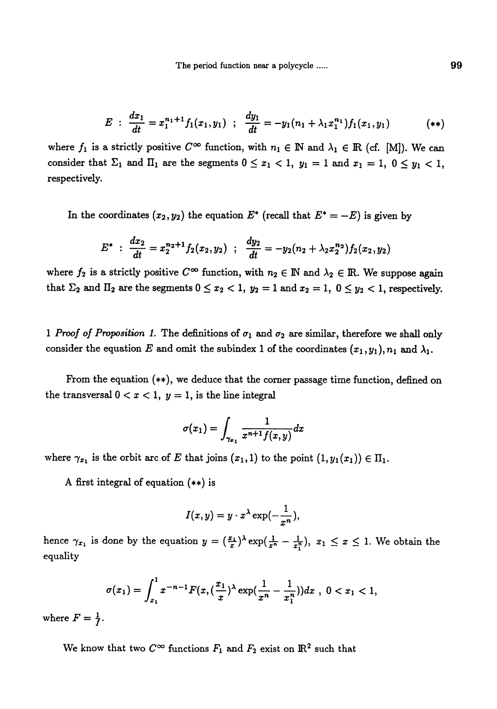$$
E : \frac{dx_1}{dt} = x_1^{n_1+1} f_1(x_1, y_1) ; \frac{dy_1}{dt} = -y_1(n_1 + \lambda_1 x_1^{n_1}) f_1(x_1, y_1)
$$
 (\*)

where  $f_1$  is a strictly positive  $C^{\infty}$  function, with  $n_1 \in \mathbb{N}$  and  $\lambda_1 \in \mathbb{R}$  (cf. [M]). We can consider that  $\Sigma_1$  and  $\Pi_1$  are the segments  $0 \le x_1 < 1$ ,  $y_1 = 1$  and  $x_1 = 1$ ,  $0 \le y_1 < 1$ , respectively.

In the coordinates  $(x_2, y_2)$  the equation  $E^*$  (recall that  $E^* = -E$ ) is given by

$$
E^* \; : \; \frac{dx_2}{dt} = x_2^{n_2+1} f_2(x_2, y_2) \; ; \; \; \frac{dy_2}{dt} = -y_2(n_2 + \lambda_2 x_2^{n_2}) f_2(x_2, y_2)
$$

where  $f_2$  is a strictly positive  $C^{\infty}$  function, with  $n_2 \in \mathbb{N}$  and  $\lambda_2 \in \mathbb{R}$ . We suppose again that  $\Sigma_2$  and  $\Pi_2$  are the segments  $0 \le x_2 < 1$ ,  $y_2 = 1$  and  $x_2 = 1$ ,  $0 \le y_2 < 1$ , respectively.

1 Proof of Proposition 1. The definitions of  $\sigma_1$  and  $\sigma_2$  are similar, therefore we shall only consider the equation E and omit the subindex 1 of the coordinates  $(x_1, y_1), n_1$  and  $\lambda_1$ .

From the equation  $(**)$ , we deduce that the corner passage time function, defined on the transversal  $0 < x < 1$ ,  $y = 1$ , is the line integral

$$
\sigma(x_1)=\int_{\gamma_{x_1}}\frac{1}{x^{n+1}f(x,y)}dx
$$

where  $\gamma_{x_1}$  is the orbit arc of E that joins  $(x_1, 1)$  to the point  $(1, y_1 (x_1)) \in \Pi_1$ .

A first integral of equation (\*\*) is

$$
I(x,y)=y\cdot x^{\lambda}\exp(-\frac{1}{x^n}),
$$

hence  $\gamma_{x_1}$  is done by the equation  $y = (\frac{x_1}{x})^{\lambda} \exp(\frac{1}{x^n} - \frac{1}{x_1^n}), x_1 \leq x \leq 1$ . We obtain the equality

$$
\sigma(x_1)=\int_{x_1}^1 x^{-n-1}F(x,(\frac{x_1}{x})^{\lambda}\exp(\frac{1}{x^n}-\frac{1}{x_1^n}))dx, 0
$$

where  $F = \frac{1}{f}$ .

We know that two  $C^{\infty}$  functions  $F_1$  and  $F_2$  exist on  $\mathbb{R}^2$  such that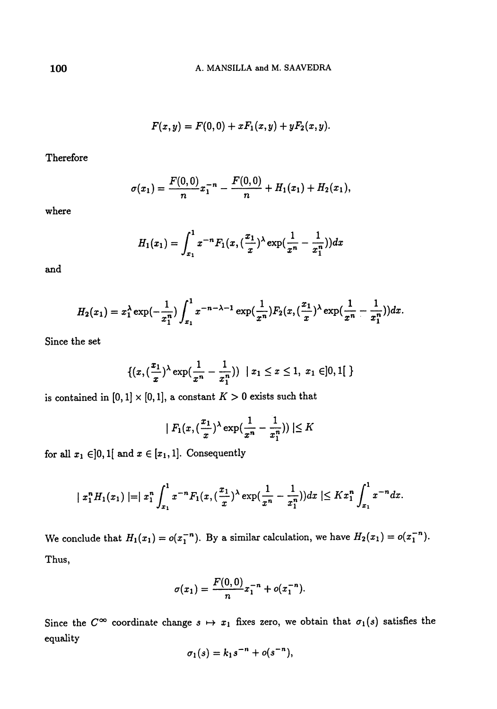$$
F(x,y) = F(0,0) + xF_1(x,y) + yF_2(x,y).
$$

Therefore

$$
\sigma(x_1)=\frac{F(0,0)}{n}x_1^{-n}-\frac{F(0,0)}{n}+H_1(x_1)+H_2(x_1),
$$

where

$$
H_1(x_1)=\int_{x_1}^1 x^{-n}F_1(x,(\frac{x_1}{x})^{\lambda}\exp(\frac{1}{x^n}-\frac{1}{x_1^n}))dx
$$

and

$$
H_2(x_1)=x_1^{\lambda}\exp(-\frac{1}{x_1^n})\int_{x_1}^1 x^{-n-\lambda-1}\exp(\frac{1}{x^n})F_2(x,(\frac{x_1}{x})^{\lambda}\exp(\frac{1}{x^n}-\frac{1}{x_1^n}))dx.
$$

Since the set

$$
\{(x, (\frac{x_1}{x})^{\lambda} \exp(\frac{1}{x^n}-\frac{1}{x_1^n})) \mid x_1 \leq x \leq 1, x_1 \in ]0,1[ \}
$$

is contained in  $[0,1] \times [0,1]$ , a constant  $K > 0$  exists such that

$$
|F_1(x,(\frac{x_1}{x})^{\lambda}\exp(\frac{1}{x^n}-\frac{1}{x_1^n}))|\leq K
$$

for all  $x_1 \in ]0,1[$  and  $x \in [x_1,1]$ . Consequently

$$
|x_1^nH_1(x_1)|=|x_1^n\int_{x_1}^1 x^{-n}F_1(x,(\frac{x_1}{x})^{\lambda}\exp(\frac{1}{x^n}-\frac{1}{x_1^n}))dx|\leq Kx_1^n\int_{x_1}^1 x^{-n}dx.
$$

We conclude that  $H_1(x_1) = o(x_1^{-n})$ . By a similar calculation, we have  $H_2(x_1) = o(x_1^{-n})$ . Thus,

$$
\sigma(x_1)=\frac{F(0,0)}{n}x_1^{-n}+o(x_1^{-n}).
$$

Since the  $C^{\infty}$  coordinate change  $s \mapsto x_1$  fixes zero, we obtain that  $\sigma_1(s)$  satisfies the equality

$$
\sigma_1(s)=k_1s^{-n}+o(s^{-n}),
$$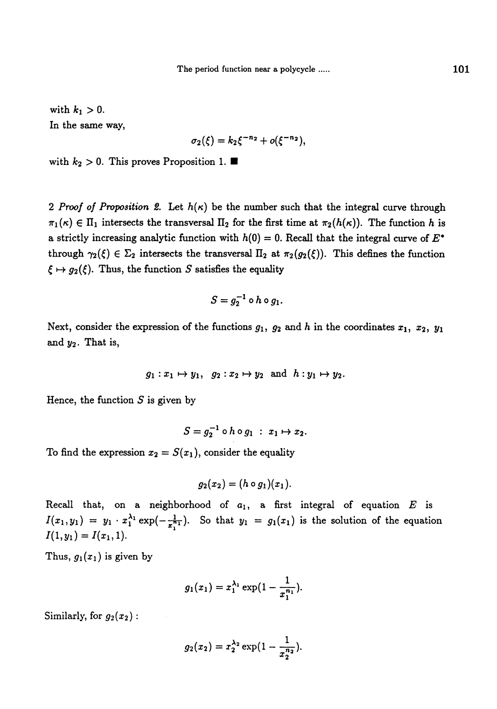with  $k_1 > 0$ . In the same way,

$$
\sigma_2(\xi) = k_2 \xi^{-n_2} + o(\xi^{-n_2}),
$$

with  $k_2 > 0$ . This proves Proposition 1.

2 Proof of Proposition 2. Let  $h(\kappa)$  be the number such that the integral curve through  $\pi_1(\kappa) \in \Pi_1$  intersects the transversal  $\Pi_2$  for the first time at  $\pi_2(h(\kappa))$ . The function h is a strictly increasing analytic function with  $h(0) = 0$ . Recall that the integral curve of  $E^*$ through  $\gamma_2(\xi) \in \Sigma_2$  intersects the transversal  $\Pi_2$  at  $\pi_2(g_2(\xi))$ . This defines the function  $\xi \mapsto g_2(\xi)$ . Thus, the function S satisfies the equality

$$
S=g_2^{-1}\circ h\circ g_1.
$$

Next, consider the expression of the functions  $g_1$ ,  $g_2$  and h in the coordinates  $x_1$ ,  $x_2$ ,  $y_1$ and  $y_2$ . That is,

$$
g_1: x_1 \mapsto y_1
$$
,  $g_2: x_2 \mapsto y_2$  and  $h: y_1 \mapsto y_2$ .

Hence, the function  $S$  is given by

$$
S=g_2^{-1}\circ h\circ g_1\;:\;x_1\mapsto x_2.
$$

To find the expression  $x_2 = S(x_1)$ , consider the equality

$$
g_2(x_2)=(h\circ g_1)(x_1).
$$

Recall that, on a neighborhood of  $a_1$ , a first integral of equation  $E$  is  $y_1(y_1) = y_1 \cdot x_1^{\lambda_1} \exp(-\frac{1}{x_1^{\lambda_1}})$ . So that  $y_1 = g_1(x_1)$  is the solution of the equation  $\sim$   $\sqrt{21}$ ,  $\sim$   $\gamma$ .

Thus,  $g_1(x_1)$  is given by

$$
g_1(x_1)=x_1^{\lambda_1}\exp\bigl(1-\frac{1}{x_1^{n_1}}\bigr).
$$

Similarly, for  $g_2(x_2)$ :

$$
g_2(x_2)=x_2^{\lambda_2}\exp(1-\frac{1}{x_2^{n_2}}).
$$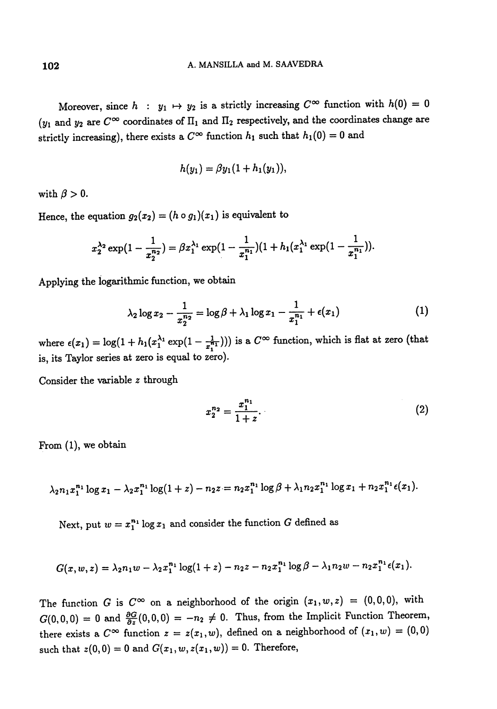Moreover, since h:  $y_1 \mapsto y_2$  is a strictly increasing  $C^{\infty}$  function with  $h(0) = 0$  $(y_1$  and  $y_2$  are  $C^{\infty}$  coordinates of  $\Pi_1$  and  $\Pi_2$  respectively, and the coordinates change are strictly increasing), there exists a  $C^{\infty}$  function  $h_1$  such that  $h_1(0) = 0$  and

$$
h(y_1)=\beta y_1(1+h_1(y_1)),
$$

with  $\beta > 0$ .

Hence, the equation  $g_2(x_2) = (h \circ g_1)(x_1)$  is equivalent to

$$
x_2^{\lambda_2} \exp\left(1 - \frac{1}{x_2^{n_2}}\right) = \beta x_1^{\lambda_1} \exp\left(1 - \frac{1}{x_1^{n_1}}\right)\left(1 + h_1\left(x_1^{\lambda_1} \exp\left(1 - \frac{1}{x_1^{n_1}}\right)\right)\right).
$$

Applying the logarithmic function, we obtain

$$
\lambda_2 \log x_2 - \frac{1}{x_2^{n_2}} = \log \beta + \lambda_1 \log x_1 - \frac{1}{x_1^{n_1}} + \epsilon(x_1)
$$
 (1)

where  $\epsilon(x_1) = \log(1 + h_1(x_1^{\lambda_1} \exp(1 - \frac{1}{x_1^{n_1}})))$  is a  $C^{\infty}$  function, which is flat at zero (that is, its Taylor series at zero is equal to zero).

Consider the variable z through

$$
x_2^{n_2} = \frac{x_1^{n_1}}{1+z}.\tag{2}
$$

From  $(1)$ , we obtain

$$
\lambda_2 n_1 x_1^{n_1} \log x_1 - \lambda_2 x_1^{n_1} \log(1+z) - n_2 z = n_2 x_1^{n_1} \log \beta + \lambda_1 n_2 x_1^{n_1} \log x_1 + n_2 x_1^{n_1} \epsilon(x_1).
$$

Next, put  $w = x_1^{n_1} \log x_1$  and consider the function G defined as

$$
G(x, w, z) = \lambda_2 n_1 w - \lambda_2 x_1^{n_1} \log(1 + z) - n_2 z - n_2 x_1^{n_1} \log \beta - \lambda_1 n_2 w - n_2 x_1^{n_1} \epsilon(x_1).
$$

The function G is  $C^{\infty}$  on a neighborhood of the origin  $(x_1, w, z) = (0, 0, 0)$ , with  $G(0,0,0) = 0$  and  $\frac{\partial G}{\partial z}(0,0,0) = -n_2 \neq 0$ . Thus, from the Implicit Function Theorem, there exists a  $C^{\infty}$  function  $z = z(x_1, w)$ , defined on a neighborhood of  $(x_1, w) = (0, 0)$ such that  $z(0, 0) = 0$  and  $G(x_1, w, z(x_1, w)) = 0$ . Therefore,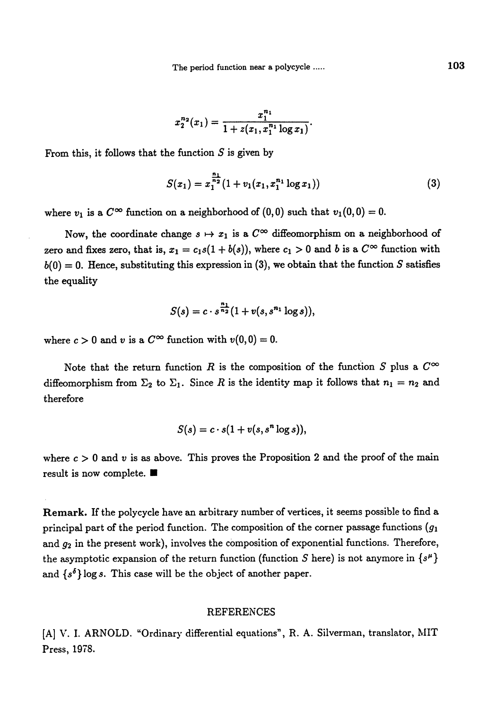$$
x_2^{n_2}(x_1)=\frac{x_1^{n_1}}{1+z(x_1,x_1^{n_1}\log x_1)}.
$$

From this, it follows that the function  $S$  is given by

$$
S(x_1) = x_1^{\frac{n_1}{n_2}} (1 + v_1(x_1, x_1^{n_1} \log x_1))
$$
\n(3)

where  $v_1$  is a  $C^{\infty}$  function on a neighborhood of  $(0,0)$  such that  $v_1(0,0) = 0$ .

Now, the coordinate change  $s \mapsto x_1$  is a  $C^{\infty}$  diffeomorphism on a neighborhood of zero and fixes zero, that is,  $x_1 = c_1s(1 + b(s))$ , where  $c_1 > 0$  and b is a  $C^{\infty}$  function with  $b(0) = 0$ . Hence, substituting this expression in (3), we obtain that the function S satisfies the equality

$$
S(s)=c\cdot s^{\frac{n_1}{n_2}}(1+v(s,s^{n_1}\log s)),
$$

where  $c > 0$  and v is a  $C^{\infty}$  function with  $v(0,0) = 0$ .

Note that the return function R is the composition of the function S plus a  $C^{\infty}$ diffeomorphism from  $\Sigma_2$  to  $\Sigma_1$ . Since R is the identity map it follows that  $n_1 = n_2$  and therefore

$$
S(s) = c \cdot s(1 + v(s, s^n \log s)),
$$

where  $c > 0$  and v is as above. This proves the Proposition 2 and the proof of the main result is now complete..

Remark. If the polycycle have an arbitrary number of vertices, it seems possible to find a principal part of the period function. The composition of the corner passage functions  $(g_1)$ and  $g_2$  in the present work), involves the composition of exponential functions. Therefore, the asymptotic expansion of the return function (function S here) is not anymore in  $\{s^{\mu}\}\$ and  $\{s^{\delta}\}\log s$ . This case will be the object of another paper.

#### REFERENCES

[A] V. I. ARNOLD. "Ordinary differential equations", R. A. Silverman, translator, MIT Press, 1978.